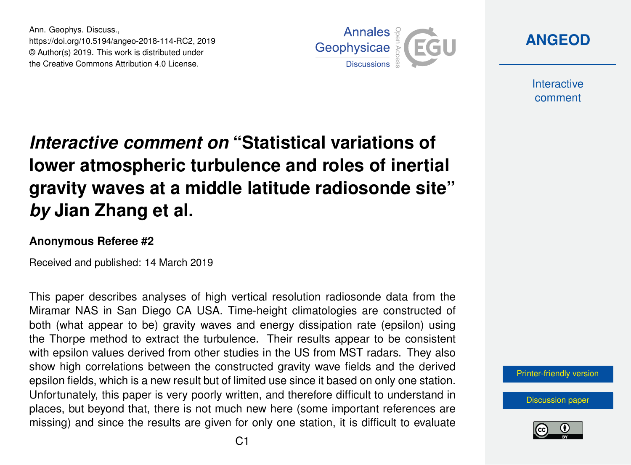Ann. Geophys. Discuss., https://doi.org/10.5194/angeo-2018-114-RC2, 2019 © Author(s) 2019. This work is distributed under the Creative Commons Attribution 4.0 License.



**[ANGEOD](https://www.ann-geophys-discuss.net/)**

**Interactive** comment

## *Interactive comment on* **"Statistical variations of lower atmospheric turbulence and roles of inertial gravity waves at a middle latitude radiosonde site"** *by* **Jian Zhang et al.**

## **Anonymous Referee #2**

Received and published: 14 March 2019

This paper describes analyses of high vertical resolution radiosonde data from the Miramar NAS in San Diego CA USA. Time-height climatologies are constructed of both (what appear to be) gravity waves and energy dissipation rate (epsilon) using the Thorpe method to extract the turbulence. Their results appear to be consistent with epsilon values derived from other studies in the US from MST radars. They also show high correlations between the constructed gravity wave fields and the derived epsilon fields, which is a new result but of limited use since it based on only one station. Unfortunately, this paper is very poorly written, and therefore difficult to understand in places, but beyond that, there is not much new here (some important references are missing) and since the results are given for only one station, it is difficult to evaluate

[Printer-friendly version](https://www.ann-geophys-discuss.net/angeo-2018-114/angeo-2018-114-RC2-print.pdf)

[Discussion paper](https://www.ann-geophys-discuss.net/angeo-2018-114)

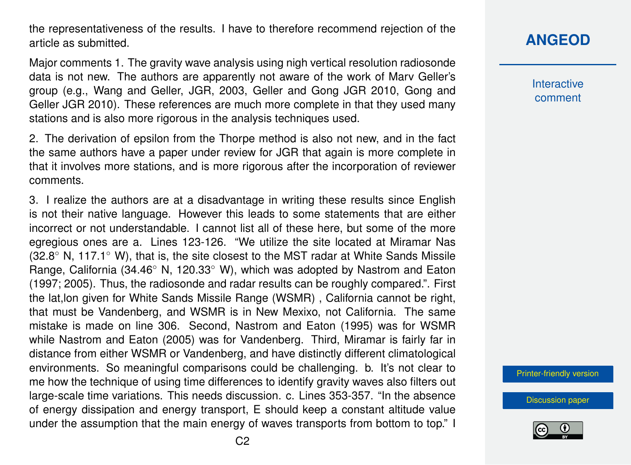the representativeness of the results. I have to therefore recommend rejection of the article as submitted.

Major comments 1. The gravity wave analysis using nigh vertical resolution radiosonde data is not new. The authors are apparently not aware of the work of Marv Geller's group (e.g., Wang and Geller, JGR, 2003, Geller and Gong JGR 2010, Gong and Geller JGR 2010). These references are much more complete in that they used many stations and is also more rigorous in the analysis techniques used.

2. The derivation of epsilon from the Thorpe method is also not new, and in the fact the same authors have a paper under review for JGR that again is more complete in that it involves more stations, and is more rigorous after the incorporation of reviewer comments.

3. I realize the authors are at a disadvantage in writing these results since English is not their native language. However this leads to some statements that are either incorrect or not understandable. I cannot list all of these here, but some of the more egregious ones are a. Lines 123-126. "We utilize the site located at Miramar Nas (32.8◦ N, 117.1◦ W), that is, the site closest to the MST radar at White Sands Missile Range, California (34.46◦ N, 120.33◦ W), which was adopted by Nastrom and Eaton (1997; 2005). Thus, the radiosonde and radar results can be roughly compared.". First the lat,lon given for White Sands Missile Range (WSMR) , California cannot be right, that must be Vandenberg, and WSMR is in New Mexixo, not California. The same mistake is made on line 306. Second, Nastrom and Eaton (1995) was for WSMR while Nastrom and Eaton (2005) was for Vandenberg. Third, Miramar is fairly far in distance from either WSMR or Vandenberg, and have distinctly different climatological environments. So meaningful comparisons could be challenging. b. It's not clear to me how the technique of using time differences to identify gravity waves also filters out large-scale time variations. This needs discussion. c. Lines 353-357. "In the absence of energy dissipation and energy transport, E should keep a constant altitude value under the assumption that the main energy of waves transports from bottom to top." I

## **[ANGEOD](https://www.ann-geophys-discuss.net/)**

**Interactive** comment

[Printer-friendly version](https://www.ann-geophys-discuss.net/angeo-2018-114/angeo-2018-114-RC2-print.pdf)

[Discussion paper](https://www.ann-geophys-discuss.net/angeo-2018-114)